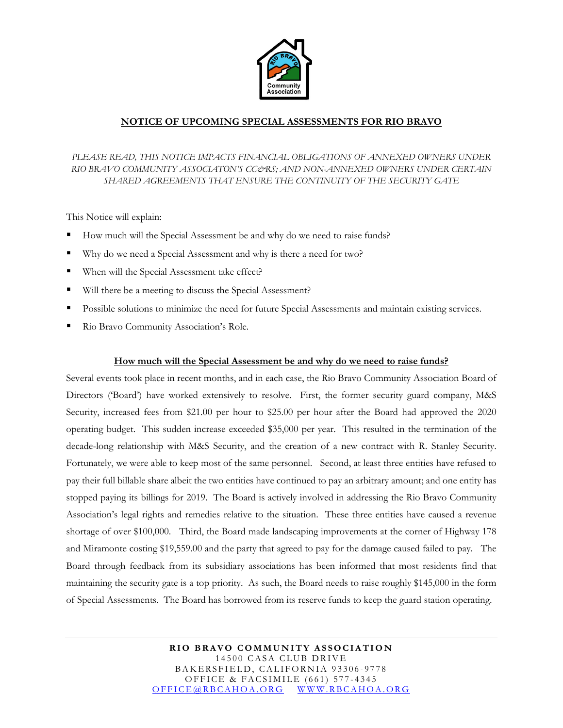

## **NOTICE OF UPCOMING SPECIAL ASSESSMENTS FOR RIO BRAVO**

PLEASE READ, THIS NOTICE IMPACTS FINANCIAL OBLIGATIONS OF ANNEXED OWNERS UNDER *RIO BRAVO COMMUNITY ASSOCIATON'S CC&RS; AND NON-ANNEXED OWNERS UNDER CERTAIN SHARED AGREEMENTS THAT ENSURE THE CONTINUITY OF THE SECURITY GATE* 

This Notice will explain:

- How much will the Special Assessment be and why do we need to raise funds?
- Why do we need a Special Assessment and why is there a need for two?
- When will the Special Assessment take effect?
- Will there be a meeting to discuss the Special Assessment?
- Possible solutions to minimize the need for future Special Assessments and maintain existing services.
- Rio Bravo Community Association's Role.

#### **How much will the Special Assessment be and why do we need to raise funds?**

Several events took place in recent months, and in each case, the Rio Bravo Community Association Board of Directors ('Board') have worked extensively to resolve. First, the former security guard company, M&S Security, increased fees from \$21.00 per hour to \$25.00 per hour after the Board had approved the 2020 operating budget. This sudden increase exceeded \$35,000 per year. This resulted in the termination of the decade-long relationship with M&S Security, and the creation of a new contract with R. Stanley Security. Fortunately, we were able to keep most of the same personnel. Second, at least three entities have refused to pay their full billable share albeit the two entities have continued to pay an arbitrary amount; and one entity has stopped paying its billings for 2019. The Board is actively involved in addressing the Rio Bravo Community Association's legal rights and remedies relative to the situation. These three entities have caused a revenue shortage of over \$100,000. Third, the Board made landscaping improvements at the corner of Highway 178 and Miramonte costing \$19,559.00 and the party that agreed to pay for the damage caused failed to pay. The Board through feedback from its subsidiary associations has been informed that most residents find that maintaining the security gate is a top priority. As such, the Board needs to raise roughly \$145,000 in the form of Special Assessments. The Board has borrowed from its reserve funds to keep the guard station operating.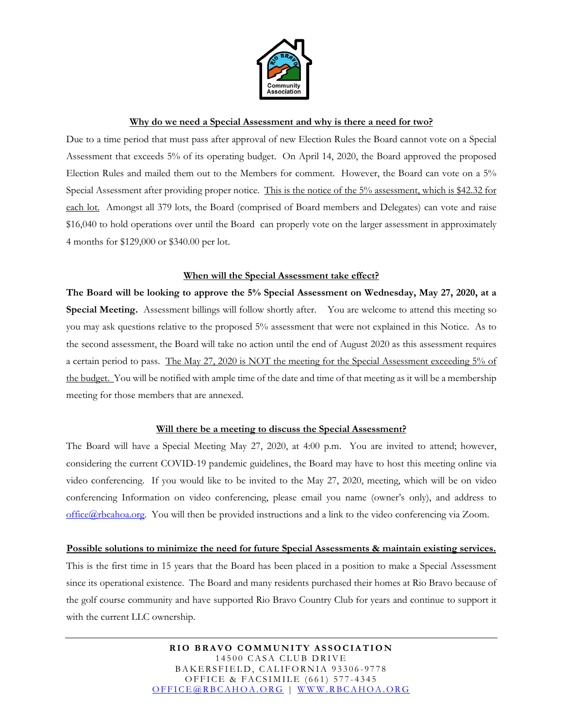

#### **Why do we need a Special Assessment and why is there a need for two?**

Due to a time period that must pass after approval of new Election Rules the Board cannot vote on a Special Assessment that exceeds 5% of its operating budget. On April 14, 2020, the Board approved the proposed Election Rules and mailed them out to the Members for comment. However, the Board can vote on a 5% Special Assessment after providing proper notice. This is the notice of the 5% assessment, which is \$42.32 for each lot. Amongst all 379 lots, the Board (comprised of Board members and Delegates) can vote and raise \$16,040 to hold operations over until the Board can properly vote on the larger assessment in approximately 4 months for \$129,000 or \$340.00 per lot.

### **When will the Special Assessment take effect?**

**The Board will be looking to approve the 5% Special Assessment on Wednesday, May 27, 2020, at a Special Meeting.** Assessment billings will follow shortly after.You are welcome to attend this meeting so you may ask questions relative to the proposed 5% assessment that were not explained in this Notice. As to the second assessment, the Board will take no action until the end of August 2020 as this assessment requires a certain period to pass. The May 27, 2020 is NOT the meeting for the Special Assessment exceeding 5% of the budget. You will be notified with ample time of the date and time of that meeting as it will be a membership meeting for those members that are annexed.

#### **Will there be a meeting to discuss the Special Assessment?**

The Board will have a Special Meeting May 27, 2020, at 4:00 p.m. You are invited to attend; however, considering the current COVID-19 pandemic guidelines, the Board may have to host this meeting online via video conferencing. If you would like to be invited to the May 27, 2020, meeting, which will be on video conferencing Information on video conferencing, please email you name (owner's only), and address to  $office@rbcahoa.org.$  You will then be provided instructions and a link to the video conferencing via Zoom.

#### **Possible solutions to minimize the need for future Special Assessments & maintain existing services.**

This is the first time in 15 years that the Board has been placed in a position to make a Special Assessment since its operational existence. The Board and many residents purchased their homes at Rio Bravo because of the golf course community and have supported Rio Bravo Country Club for years and continue to support it with the current LLC ownership.